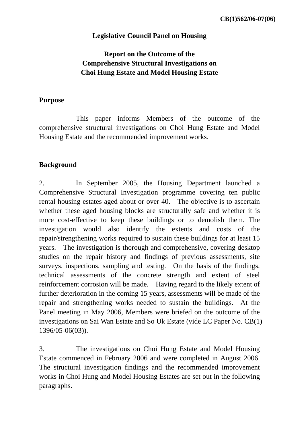### **Legislative Council Panel on Housing**

## **Report on the Outcome of the Comprehensive Structural Investigations on Choi Hung Estate and Model Housing Estate**

#### **Purpose**

 This paper informs Members of the outcome of the comprehensive structural investigations on Choi Hung Estate and Model Housing Estate and the recommended improvement works.

#### **Background**

2. In September 2005, the Housing Department launched a Comprehensive Structural Investigation programme covering ten public rental housing estates aged about or over 40. The objective is to ascertain whether these aged housing blocks are structurally safe and whether it is more cost-effective to keep these buildings or to demolish them. The investigation would also identify the extents and costs of the repair/strengthening works required to sustain these buildings for at least 15 years. The investigation is thorough and comprehensive, covering desktop studies on the repair history and findings of previous assessments, site surveys, inspections, sampling and testing. On the basis of the findings, technical assessments of the concrete strength and extent of steel reinforcement corrosion will be made. Having regard to the likely extent of further deterioration in the coming 15 years, assessments will be made of the repair and strengthening works needed to sustain the buildings. At the Panel meeting in May 2006, Members were briefed on the outcome of the investigations on Sai Wan Estate and So Uk Estate (vide LC Paper No. CB(1) 1396/05-06(03)).

3. The investigations on Choi Hung Estate and Model Housing Estate commenced in February 2006 and were completed in August 2006. The structural investigation findings and the recommended improvement works in Choi Hung and Model Housing Estates are set out in the following paragraphs.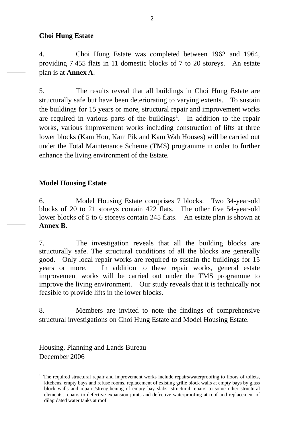4. Choi Hung Estate was completed between 1962 and 1964, providing 7 455 flats in 11 domestic blocks of 7 to 20 storeys. An estate plan is at **Annex A**.

5. The results reveal that all buildings in Choi Hung Estate are structurally safe but have been deteriorating to varying extents. To sustain the buildings for 15 years or more, structural repair and improvement works are required in various parts of the buildings<sup>1</sup>. In addition to the repair works, various improvement works including construction of lifts at three lower blocks (Kam Hon, Kam Pik and Kam Wah Houses) will be carried out under the Total Maintenance Scheme (TMS) programme in order to further enhance the living environment of the Estate.

### **Model Housing Estate**

6. Model Housing Estate comprises 7 blocks. Two 34-year-old blocks of 20 to 21 storeys contain 422 flats. The other five 54-year-old lower blocks of 5 to 6 storeys contain 245 flats. An estate plan is shown at **Annex B**.

7. The investigation reveals that all the building blocks are structurally safe. The structural conditions of all the blocks are generally good. Only local repair works are required to sustain the buildings for 15 years or more. In addition to these repair works, general estate improvement works will be carried out under the TMS programme to improve the living environment. Our study reveals that it is technically not feasible to provide lifts in the lower blocks.

8. Members are invited to note the findings of comprehensive structural investigations on Choi Hung Estate and Model Housing Estate.

Housing, Planning and Lands Bureau December 2006

 $\overline{a}$ 

<sup>1</sup> The required structural repair and improvement works include repairs/waterproofing to floors of toilets, kitchens, empty bays and refuse rooms, replacement of existing grille block walls at empty bays by glass block walls and repairs/strengthening of empty bay slabs, structural repairs to some other structural elements, repairs to defective expansion joints and defective waterproofing at roof and replacement of dilapidated water tanks at roof.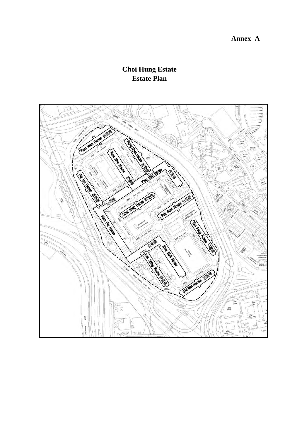# **Annex A**

# **Choi Hung Estate Estate Plan**